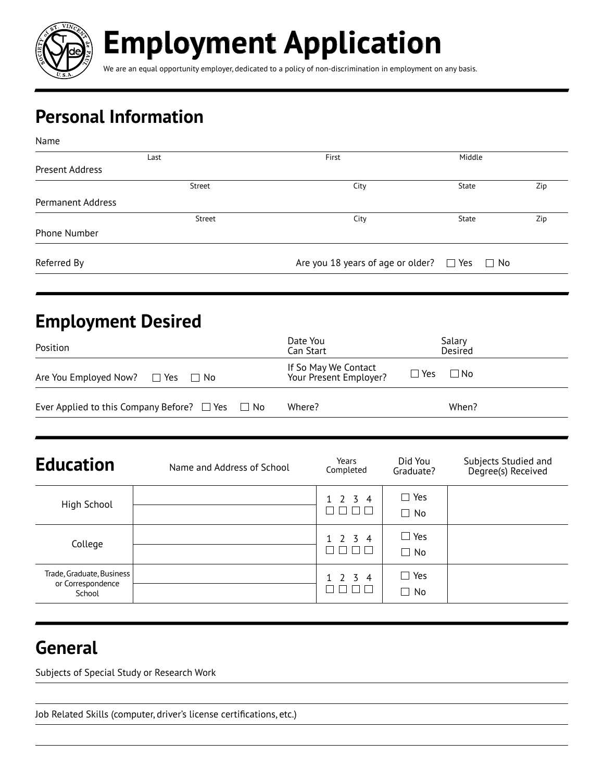

**Employment Application**

We are an equal opportunity employer, dedicated to a policy of non-discrimination in employment on any basis.

# **Personal Information**

| Name                     |        |                                                        |        |     |
|--------------------------|--------|--------------------------------------------------------|--------|-----|
|                          | Last   | First                                                  | Middle |     |
| Present Address          |        |                                                        |        |     |
|                          | Street | City                                                   | State  | Zip |
| <b>Permanent Address</b> |        |                                                        |        |     |
|                          | Street | City                                                   | State  | Zip |
| Phone Number             |        |                                                        |        |     |
| Referred By              |        | Are you 18 years of age or older? $\Box$ Yes $\Box$ No |        |     |
|                          |        |                                                        |        |     |

## **Employment Desired**

| Position                                                  | Date You<br>Can Start                                        | Salary<br>Desired |
|-----------------------------------------------------------|--------------------------------------------------------------|-------------------|
| Are You Employed Now? $\Box$ Yes $\Box$ No                | If So May We Contact<br>$\Box$ Yes<br>Your Present Employer? | ⊟ No              |
| Ever Applied to this Company Before? $\Box$ Yes $\Box$ No | Where?                                                       | When?             |

| <b>Education</b>                                         | Name and Address of School | Years<br>Completed              | Did You<br>Graduate?       | Subjects Studied and<br>Degree(s) Received |
|----------------------------------------------------------|----------------------------|---------------------------------|----------------------------|--------------------------------------------|
| High School                                              |                            | $1 \t2 \t3 \t4$                 | $\Box$ Yes<br>$\Box$ No    |                                            |
| College                                                  |                            | $1 \t2 \t3 \t4$<br>$\mathbb{R}$ | $\square$ Yes<br>$\Box$ No |                                            |
| Trade, Graduate, Business<br>or Correspondence<br>School |                            | $1 \t2 \t3 \t4$                 | $\Box$ Yes<br>$\Box$ No    |                                            |

## **General**

Subjects of Special Study or Research Work

Job Related Skills (computer, driver's license certifications, etc.)